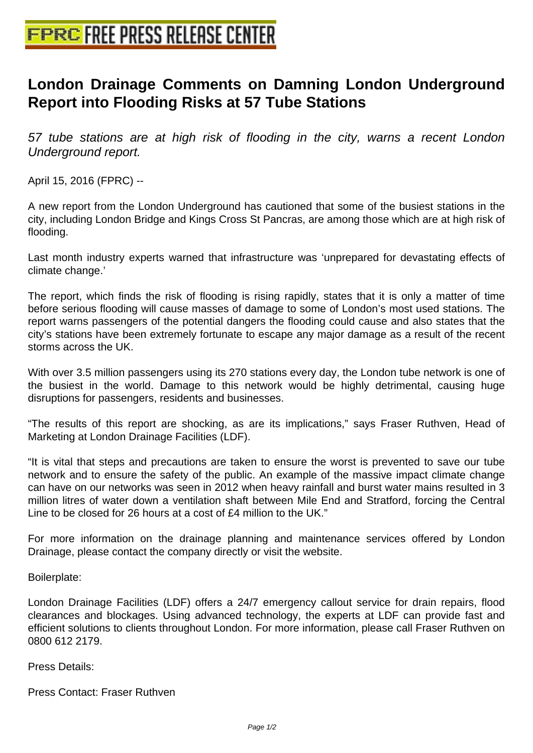## **[London Drainage Comments on D](http://www.free-press-release-center.info)amning London Underground Report into Flooding Risks at 57 Tube Stations**

57 tube stations are at high risk of flooding in the city, warns a recent London Underground report.

April 15, 2016 (FPRC) --

A new report from the London Underground has cautioned that some of the busiest stations in the city, including London Bridge and Kings Cross St Pancras, are among those which are at high risk of flooding.

Last month industry experts warned that infrastructure was 'unprepared for devastating effects of climate change.'

The report, which finds the risk of flooding is rising rapidly, states that it is only a matter of time before serious flooding will cause masses of damage to some of London's most used stations. The report warns passengers of the potential dangers the flooding could cause and also states that the city's stations have been extremely fortunate to escape any major damage as a result of the recent storms across the UK.

With over 3.5 million passengers using its 270 stations every day, the London tube network is one of the busiest in the world. Damage to this network would be highly detrimental, causing huge disruptions for passengers, residents and businesses.

"The results of this report are shocking, as are its implications," says Fraser Ruthven, Head of Marketing at London Drainage Facilities (LDF).

"It is vital that steps and precautions are taken to ensure the worst is prevented to save our tube network and to ensure the safety of the public. An example of the massive impact climate change can have on our networks was seen in 2012 when heavy rainfall and burst water mains resulted in 3 million litres of water down a ventilation shaft between Mile End and Stratford, forcing the Central Line to be closed for 26 hours at a cost of £4 million to the UK."

For more information on the drainage planning and maintenance services offered by London Drainage, please contact the company directly or visit the website.

Boilerplate:

London Drainage Facilities (LDF) offers a 24/7 emergency callout service for drain repairs, flood clearances and blockages. Using advanced technology, the experts at LDF can provide fast and efficient solutions to clients throughout London. For more information, please call Fraser Ruthven on 0800 612 2179.

Press Details:

Press Contact: Fraser Ruthven